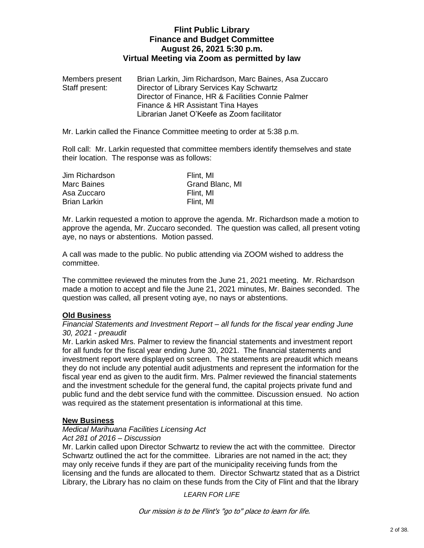# **Flint Public Library Finance and Budget Committee August 26, 2021 5:30 p.m. Virtual Meeting via Zoom as permitted by law**

Members present Brian Larkin, Jim Richardson, Marc Baines, Asa Zuccaro Staff present: Director of Library Services Kay Schwartz Director of Finance, HR & Facilities Connie Palmer Finance & HR Assistant Tina Hayes Librarian Janet O'Keefe as Zoom facilitator

Mr. Larkin called the Finance Committee meeting to order at 5:38 p.m.

Roll call: Mr. Larkin requested that committee members identify themselves and state their location. The response was as follows:

| Jim Richardson      | Flint, MI       |
|---------------------|-----------------|
| Marc Baines         | Grand Blanc, MI |
| Asa Zuccaro         | Flint, MI       |
| <b>Brian Larkin</b> | Flint. MI       |

Mr. Larkin requested a motion to approve the agenda. Mr. Richardson made a motion to approve the agenda, Mr. Zuccaro seconded. The question was called, all present voting aye, no nays or abstentions. Motion passed.

A call was made to the public. No public attending via ZOOM wished to address the committee.

The committee reviewed the minutes from the June 21, 2021 meeting. Mr. Richardson made a motion to accept and file the June 21, 2021 minutes, Mr. Baines seconded. The question was called, all present voting aye, no nays or abstentions.

# **Old Business**

### *Financial Statements and Investment Report – all funds for the fiscal year ending June 30, 2021 - preaudit*

Mr. Larkin asked Mrs. Palmer to review the financial statements and investment report for all funds for the fiscal year ending June 30, 2021. The financial statements and investment report were displayed on screen. The statements are preaudit which means they do not include any potential audit adjustments and represent the information for the fiscal year end as given to the audit firm. Mrs. Palmer reviewed the financial statements and the investment schedule for the general fund, the capital projects private fund and public fund and the debt service fund with the committee. Discussion ensued. No action was required as the statement presentation is informational at this time.

## **New Business**

### *Medical Marihuana Facilities Licensing Act*

## *Act 281 of 2016 – Discussion*

Mr. Larkin called upon Director Schwartz to review the act with the committee. Director Schwartz outlined the act for the committee. Libraries are not named in the act; they may only receive funds if they are part of the municipality receiving funds from the licensing and the funds are allocated to them. Director Schwartz stated that as a District Library, the Library has no claim on these funds from the City of Flint and that the library

*LEARN FOR LIFE*